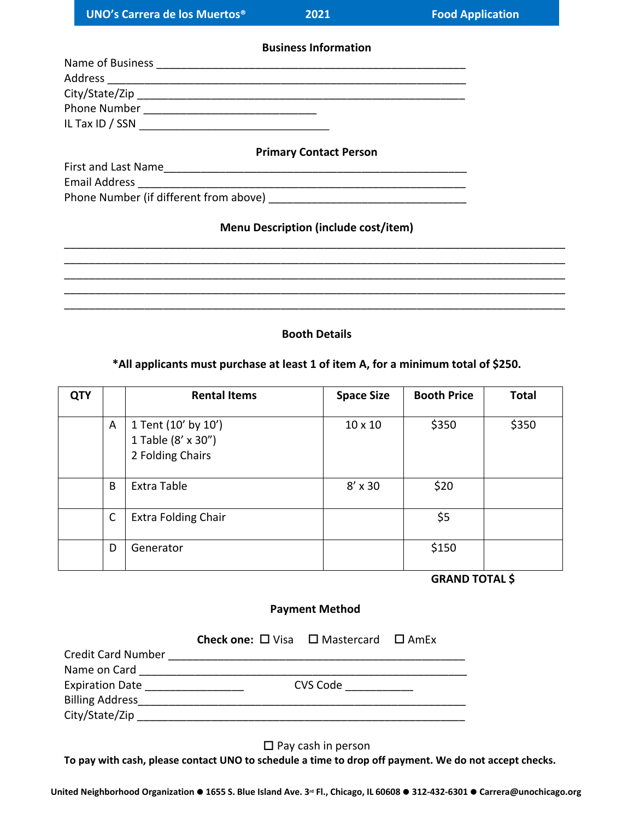**Business Information**

| Name of Business |  |  |
|------------------|--|--|
| Address          |  |  |
| City/State/Zip   |  |  |
| Phone Number     |  |  |
| IL Tax ID / SSN  |  |  |
|                  |  |  |

#### **Primary Contact Person**

|                                                             | $\ldots$ |
|-------------------------------------------------------------|----------|
| First and Last Name                                         |          |
| <b>Email Address</b>                                        |          |
| $\mathbb{R}^n$ are the second formulation of $\mathbb{R}^n$ |          |

Phone Number (if different from above) \_\_\_\_\_\_\_\_\_\_\_\_\_\_\_\_\_\_\_\_\_\_\_\_\_\_\_\_\_\_\_\_

## **Menu Description (include cost/item)**

\_\_\_\_\_\_\_\_\_\_\_\_\_\_\_\_\_\_\_\_\_\_\_\_\_\_\_\_\_\_\_\_\_\_\_\_\_\_\_\_\_\_\_\_\_\_\_\_\_\_\_\_\_\_\_\_\_\_\_\_\_\_\_\_\_\_\_\_\_\_\_\_\_\_\_\_\_\_\_\_\_ \_\_\_\_\_\_\_\_\_\_\_\_\_\_\_\_\_\_\_\_\_\_\_\_\_\_\_\_\_\_\_\_\_\_\_\_\_\_\_\_\_\_\_\_\_\_\_\_\_\_\_\_\_\_\_\_\_\_\_\_\_\_\_\_\_\_\_\_\_\_\_\_\_\_\_\_\_\_\_\_\_ \_\_\_\_\_\_\_\_\_\_\_\_\_\_\_\_\_\_\_\_\_\_\_\_\_\_\_\_\_\_\_\_\_\_\_\_\_\_\_\_\_\_\_\_\_\_\_\_\_\_\_\_\_\_\_\_\_\_\_\_\_\_\_\_\_\_\_\_\_\_\_\_\_\_\_\_\_\_\_\_\_ \_\_\_\_\_\_\_\_\_\_\_\_\_\_\_\_\_\_\_\_\_\_\_\_\_\_\_\_\_\_\_\_\_\_\_\_\_\_\_\_\_\_\_\_\_\_\_\_\_\_\_\_\_\_\_\_\_\_\_\_\_\_\_\_\_\_\_\_\_\_\_\_\_\_\_\_\_\_\_\_\_ \_\_\_\_\_\_\_\_\_\_\_\_\_\_\_\_\_\_\_\_\_\_\_\_\_\_\_\_\_\_\_\_\_\_\_\_\_\_\_\_\_\_\_\_\_\_\_\_\_\_\_\_\_\_\_\_\_\_\_\_\_\_\_\_\_\_\_\_\_\_\_\_\_\_\_\_\_\_\_\_\_

## **Booth Details**

## **\*All applicants must purchase at least 1 of item A, for a minimum total of \$250.**

| <b>QTY</b> |              | <b>Rental Items</b>                                           | <b>Space Size</b> | <b>Booth Price</b> | <b>Total</b> |
|------------|--------------|---------------------------------------------------------------|-------------------|--------------------|--------------|
|            | A            | 1 Tent (10' by 10')<br>1 Table (8' x 30")<br>2 Folding Chairs | $10 \times 10$    | \$350              | \$350        |
|            | B            | Extra Table                                                   | $8' \times 30$    | \$20               |              |
|            | $\mathsf{C}$ | <b>Extra Folding Chair</b>                                    |                   | \$5                |              |
|            | D            | Generator                                                     |                   | \$150              |              |

 **GRAND TOTAL \$**

## **Payment Method**

|                           | <b>Check one:</b> $\Box$ Visa $\Box$ Mastercard $\Box$ AmEx |          |  |
|---------------------------|-------------------------------------------------------------|----------|--|
| <b>Credit Card Number</b> |                                                             |          |  |
| Name on Card              |                                                             |          |  |
| <b>Expiration Date</b>    |                                                             | CVS Code |  |
| <b>Billing Address</b>    |                                                             |          |  |
| City/State/Zip            |                                                             |          |  |

 $\square$  Pay cash in person

**To pay with cash, please contact UNO to schedule a time to drop off payment. We do not accept checks.**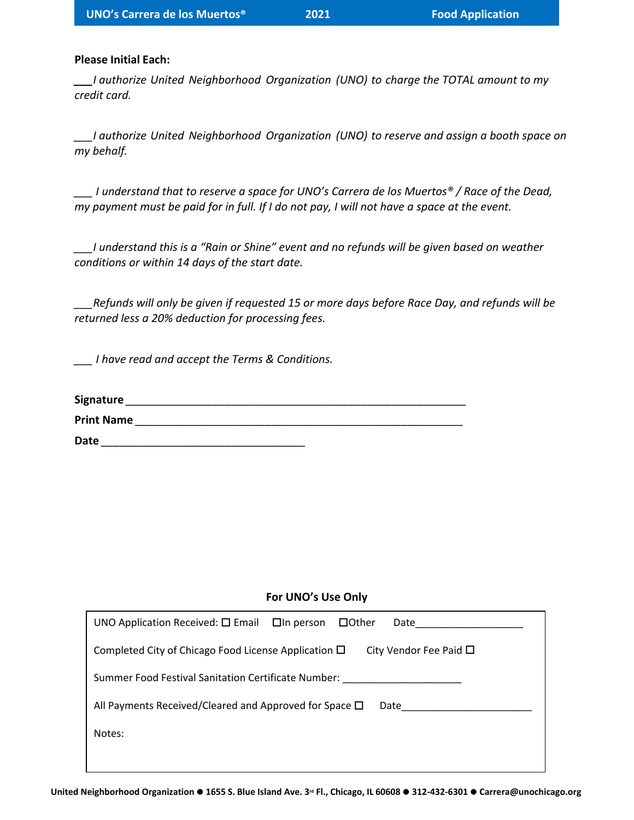#### **Please Initial Each:**

*\_\_\_I authorize United Neighborhood Organization (UNO) to charge the TOTAL amount to my credit card.*

*\_\_\_I authorize United Neighborhood Organization (UNO) to reserve and assign a booth space on my behalf.*

*\_\_\_ I understand that to reserve a space for UNO's Carrera de los Muertos® / Race of the Dead, my payment must be paid for in full. If I do not pay, I will not have a space at the event.*

*\_\_\_I understand this is a "Rain or Shine" event and no refunds will be given based on weather conditions or within 14 days of the start date.*

*\_\_\_Refunds will only be given if requested 15 or more days before Race Day, and refunds will be returned less a 20% deduction for processing fees.*

*\_\_\_ I have read and accept the Terms & Conditions.*

| Signature         |  |  |
|-------------------|--|--|
| <b>Print Name</b> |  |  |
| Date              |  |  |

### **For UNO's Use Only**

| UNO Application Received: $\Box$ Email $\Box$ In person $\Box$ Other<br>Date             |
|------------------------------------------------------------------------------------------|
| Completed City of Chicago Food License Application $\Box$<br>City Vendor Fee Paid $\Box$ |
| Summer Food Festival Sanitation Certificate Number:                                      |
| All Payments Received/Cleared and Approved for Space $\Box$<br>Date                      |
| Notes:                                                                                   |
|                                                                                          |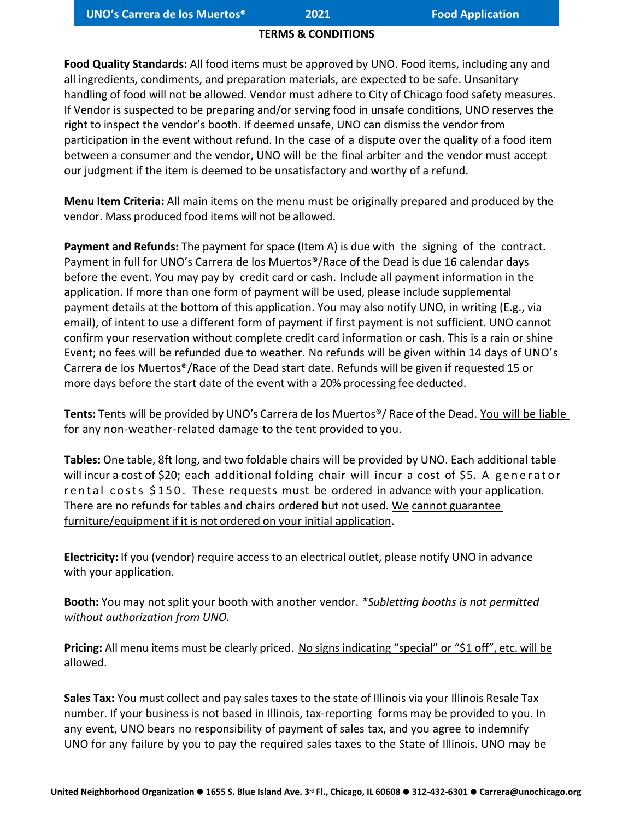## **TERMS & CONDITIONS**

**Food Quality Standards:** All food items must be approved by UNO. Food items, including any and all ingredients, condiments, and preparation materials, are expected to be safe. Unsanitary handling of food will not be allowed. Vendor must adhere to City of Chicago food safety measures. If Vendor is suspected to be preparing and/or serving food in unsafe conditions, UNO reserves the right to inspect the vendor's booth. If deemed unsafe, UNO can dismiss the vendor from participation in the event without refund. In the case of a dispute over the quality of a food item between a consumer and the vendor, UNO will be the final arbiter and the vendor must accept our judgment if the item is deemed to be unsatisfactory and worthy of a refund.

**Menu Item Criteria:** All main items on the menu must be originally prepared and produced by the vendor. Mass produced food items will not be allowed.

**Payment and Refunds:** The payment for space (Item A) is due with the signing of the contract. Payment in full for UNO's Carrera de los Muertos®/Race of the Dead is due 16 calendar days before the event. You may pay by credit card or cash. Include all payment information in the application. If more than one form of payment will be used, please include supplemental payment details at the bottom of this application. You may also notify UNO, in writing (E.g., via email), of intent to use a different form of payment if first payment is not sufficient. UNO cannot confirm your reservation without complete credit card information or cash. This is a rain or shine Event; no fees will be refunded due to weather. No refunds will be given within 14 days of UNO's Carrera de los Muertos®/Race of the Dead start date. Refunds will be given if requested 15 or more days before the start date of the event with a 20% processing fee deducted.

**Tents:** Tents will be provided by UNO's Carrera de los Muertos®/ Race of the Dead. You will be liable for any non-weather-related damage to the tent provided to you.

**Tables:** One table, 8ft long, and two foldable chairs will be provided by UNO. Each additional table will incur a cost of \$20; each additional folding chair will incur a cost of \$5. A generator r e ntal costs \$150. These requests must be ordered in advance with your application. There are no refunds for tables and chairs ordered but not used. We cannot guarantee furniture/equipment if it is not ordered on your initial application.

**Electricity:** If you (vendor) require access to an electrical outlet, please notify UNO in advance with your application.

**Booth:** You may not split your booth with another vendor. *\*Subletting booths is not permitted without authorization from UNO.* 

**Pricing:** All menu items must be clearly priced. No signs indicating "special" or "\$1 off", etc. will be allowed.

**Sales Tax:** You must collect and pay sales taxes to the state of Illinois via your Illinois Resale Tax number. If your business is not based in Illinois, tax-reporting forms may be provided to you. In any event, UNO bears no responsibility of payment of sales tax, and you agree to indemnify UNO for any failure by you to pay the required sales taxes to the State of Illinois. UNO may be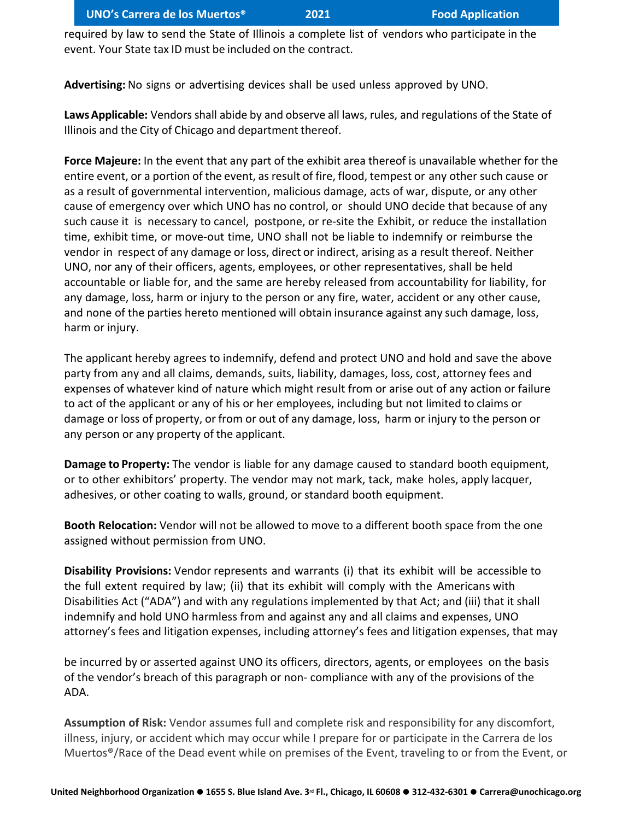required by law to send the State of Illinois a complete list of vendors who participate in the event. Your State tax ID must be included on the contract.

**Advertising:** No signs or advertising devices shall be used unless approved by UNO.

**Laws Applicable:** Vendors shall abide by and observe all laws, rules, and regulations of the State of Illinois and the City of Chicago and department thereof.

**Force Majeure:** In the event that any part of the exhibit area thereof is unavailable whether for the entire event, or a portion of the event, as result of fire, flood, tempest or any other such cause or as a result of governmental intervention, malicious damage, acts of war, dispute, or any other cause of emergency over which UNO has no control, or should UNO decide that because of any such cause it is necessary to cancel, postpone, or re-site the Exhibit, or reduce the installation time, exhibit time, or move-out time, UNO shall not be liable to indemnify or reimburse the vendor in respect of any damage or loss, direct or indirect, arising as a result thereof. Neither UNO, nor any of their officers, agents, employees, or other representatives, shall be held accountable or liable for, and the same are hereby released from accountability for liability, for any damage, loss, harm or injury to the person or any fire, water, accident or any other cause, and none of the parties hereto mentioned will obtain insurance against any such damage, loss, harm or injury.

The applicant hereby agrees to indemnify, defend and protect UNO and hold and save the above party from any and all claims, demands, suits, liability, damages, loss, cost, attorney fees and expenses of whatever kind of nature which might result from or arise out of any action or failure to act of the applicant or any of his or her employees, including but not limited to claims or damage or loss of property, or from or out of any damage, loss, harm or injury to the person or any person or any property of the applicant.

**Damage to Property:** The vendor is liable for any damage caused to standard booth equipment, or to other exhibitors' property. The vendor may not mark, tack, make holes, apply lacquer, adhesives, or other coating to walls, ground, or standard booth equipment.

**Booth Relocation:** Vendor will not be allowed to move to a different booth space from the one assigned without permission from UNO.

**Disability Provisions:** Vendor represents and warrants (i) that its exhibit will be accessible to the full extent required by law; (ii) that its exhibit will comply with the Americans with Disabilities Act ("ADA") and with any regulations implemented by that Act; and (iii) that it shall indemnify and hold UNO harmless from and against any and all claims and expenses, UNO attorney's fees and litigation expenses, including attorney's fees and litigation expenses, that may

be incurred by or asserted against UNO its officers, directors, agents, or employees on the basis of the vendor's breach of this paragraph or non- compliance with any of the provisions of the ADA.

**Assumption of Risk:** Vendor assumes full and complete risk and responsibility for any discomfort, illness, injury, or accident which may occur while I prepare for or participate in the Carrera de los Muertos®/Race of the Dead event while on premises of the Event, traveling to or from the Event, or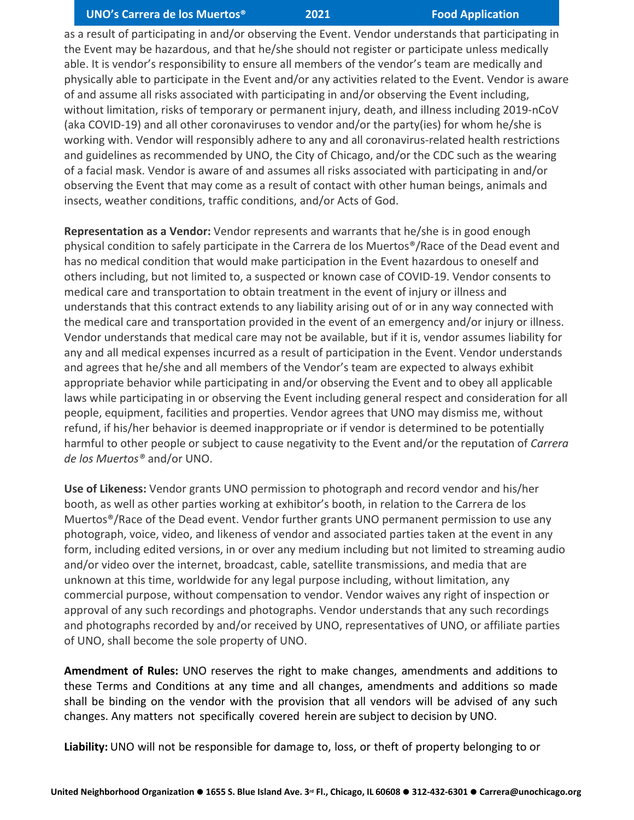## **UNO's Carrera de los Muertos® 2021 Food Application**

as a result of participating in and/or observing the Event. Vendor understands that participating in the Event may be hazardous, and that he/she should not register or participate unless medically able. It is vendor's responsibility to ensure all members of the vendor's team are medically and physically able to participate in the Event and/or any activities related to the Event. Vendor is aware of and assume all risks associated with participating in and/or observing the Event including, without limitation, risks of temporary or permanent injury, death, and illness including 2019-nCoV (aka COVID-19) and all other coronaviruses to vendor and/or the party(ies) for whom he/she is working with. Vendor will responsibly adhere to any and all coronavirus-related health restrictions and guidelines as recommended by UNO, the City of Chicago, and/or the CDC such as the wearing of a facial mask. Vendor is aware of and assumes all risks associated with participating in and/or observing the Event that may come as a result of contact with other human beings, animals and insects, weather conditions, traffic conditions, and/or Acts of God.

**Representation as a Vendor:** Vendor represents and warrants that he/she is in good enough physical condition to safely participate in the Carrera de los Muertos®/Race of the Dead event and has no medical condition that would make participation in the Event hazardous to oneself and others including, but not limited to, a suspected or known case of COVID-19. Vendor consents to medical care and transportation to obtain treatment in the event of injury or illness and understands that this contract extends to any liability arising out of or in any way connected with the medical care and transportation provided in the event of an emergency and/or injury or illness. Vendor understands that medical care may not be available, but if it is, vendor assumes liability for any and all medical expenses incurred as a result of participation in the Event. Vendor understands and agrees that he/she and all members of the Vendor's team are expected to always exhibit appropriate behavior while participating in and/or observing the Event and to obey all applicable laws while participating in or observing the Event including general respect and consideration for all people, equipment, facilities and properties. Vendor agrees that UNO may dismiss me, without refund, if his/her behavior is deemed inappropriate or if vendor is determined to be potentially harmful to other people or subject to cause negativity to the Event and/or the reputation of *Carrera de los Muertos®* and/or UNO.

**Use of Likeness:** Vendor grants UNO permission to photograph and record vendor and his/her booth, as well as other parties working at exhibitor's booth, in relation to the Carrera de los Muertos®/Race of the Dead event. Vendor further grants UNO permanent permission to use any photograph, voice, video, and likeness of vendor and associated parties taken at the event in any form, including edited versions, in or over any medium including but not limited to streaming audio and/or video over the internet, broadcast, cable, satellite transmissions, and media that are unknown at this time, worldwide for any legal purpose including, without limitation, any commercial purpose, without compensation to vendor. Vendor waives any right of inspection or approval of any such recordings and photographs. Vendor understands that any such recordings and photographs recorded by and/or received by UNO, representatives of UNO, or affiliate parties of UNO, shall become the sole property of UNO.

**Amendment of Rules:** UNO reserves the right to make changes, amendments and additions to these Terms and Conditions at any time and all changes, amendments and additions so made shall be binding on the vendor with the provision that all vendors will be advised of any such changes. Any matters not specifically covered herein are subject to decision by UNO.

**Liability:** UNO will not be responsible for damage to, loss, or theft of property belonging to or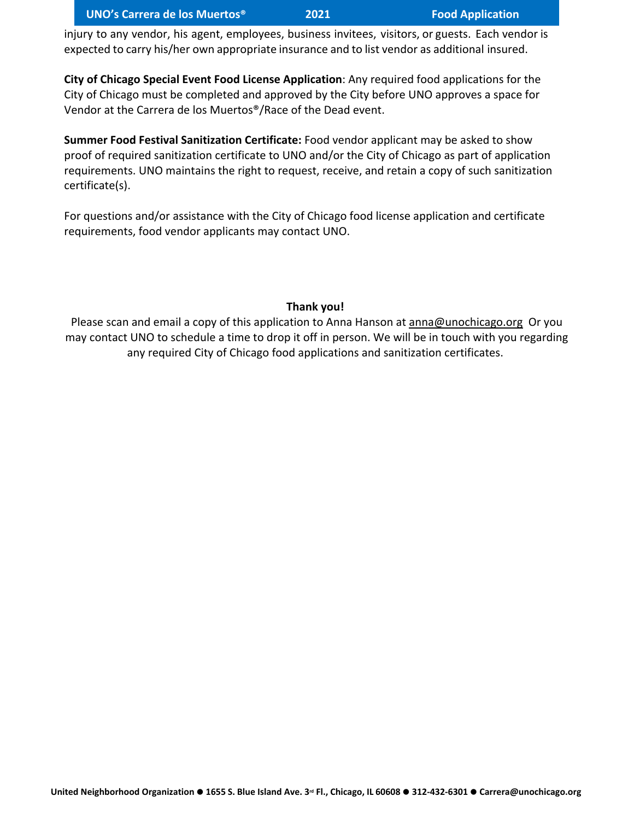injury to any vendor, his agent, employees, business invitees, visitors, or guests. Each vendor is expected to carry his/her own appropriate insurance and to list vendor as additional insured.

**City of Chicago Special Event Food License Application**: Any required food applications for the City of Chicago must be completed and approved by the City before UNO approves a space for Vendor at the Carrera de los Muertos®/Race of the Dead event.

**Summer Food Festival Sanitization Certificate:** Food vendor applicant may be asked to show proof of required sanitization certificate to UNO and/or the City of Chicago as part of application requirements. UNO maintains the right to request, receive, and retain a copy of such sanitization certificate(s).

For questions and/or assistance with the City of Chicago food license application and certificate requirements, food vendor applicants may contact UNO.

# **Thank you!**

Please scan and email a copy of this application to Anna Hanson at [anna@unochicago.org](mailto:anna@unochicago.org) Or you may contact UNO to schedule a time to drop it off in person. We will be in touch with you regarding any required City of Chicago food applications and sanitization certificates.